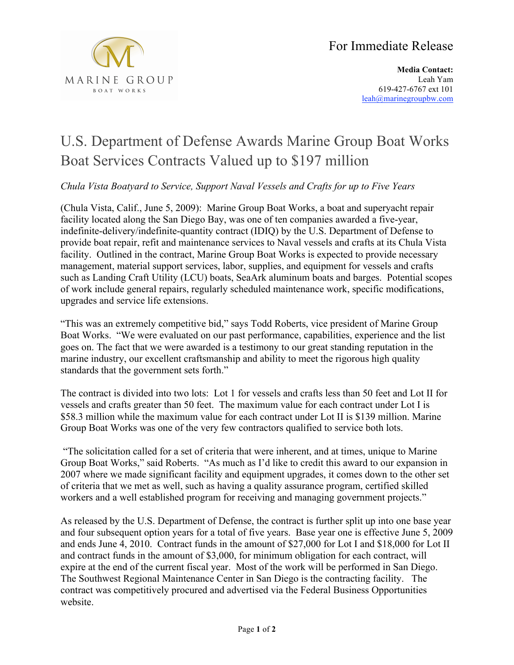

**Media Contact:** Leah Yam 619-427-6767 ext 101 leah@marinegroupbw.com

## U.S. Department of Defense Awards Marine Group Boat Works Boat Services Contracts Valued up to \$197 million

*Chula Vista Boatyard to Service, Support Naval Vessels and Crafts for up to Five Years*

(Chula Vista, Calif., June 5, 2009): Marine Group Boat Works, a boat and superyacht repair facility located along the San Diego Bay, was one of ten companies awarded a five-year, indefinite-delivery/indefinite-quantity contract (IDIQ) by the U.S. Department of Defense to provide boat repair, refit and maintenance services to Naval vessels and crafts at its Chula Vista facility. Outlined in the contract, Marine Group Boat Works is expected to provide necessary management, material support services, labor, supplies, and equipment for vessels and crafts such as Landing Craft Utility (LCU) boats, SeaArk aluminum boats and barges. Potential scopes of work include general repairs, regularly scheduled maintenance work, specific modifications, upgrades and service life extensions.

"This was an extremely competitive bid," says Todd Roberts, vice president of Marine Group Boat Works. "We were evaluated on our past performance, capabilities, experience and the list goes on. The fact that we were awarded is a testimony to our great standing reputation in the marine industry, our excellent craftsmanship and ability to meet the rigorous high quality standards that the government sets forth."

The contract is divided into two lots: Lot 1 for vessels and crafts less than 50 feet and Lot II for vessels and crafts greater than 50 feet. The maximum value for each contract under Lot I is \$58.3 million while the maximum value for each contract under Lot II is \$139 million. Marine Group Boat Works was one of the very few contractors qualified to service both lots.

"The solicitation called for a set of criteria that were inherent, and at times, unique to Marine Group Boat Works," said Roberts. "As much as I'd like to credit this award to our expansion in 2007 where we made significant facility and equipment upgrades, it comes down to the other set of criteria that we met as well, such as having a quality assurance program, certified skilled workers and a well established program for receiving and managing government projects."

As released by the U.S. Department of Defense, the contract is further split up into one base year and four subsequent option years for a total of five years. Base year one is effective June 5, 2009 and ends June 4, 2010. Contract funds in the amount of \$27,000 for Lot I and \$18,000 for Lot II and contract funds in the amount of \$3,000, for minimum obligation for each contract, will expire at the end of the current fiscal year. Most of the work will be performed in San Diego. The Southwest Regional Maintenance Center in San Diego is the contracting facility. The contract was competitively procured and advertised via the Federal Business Opportunities website.